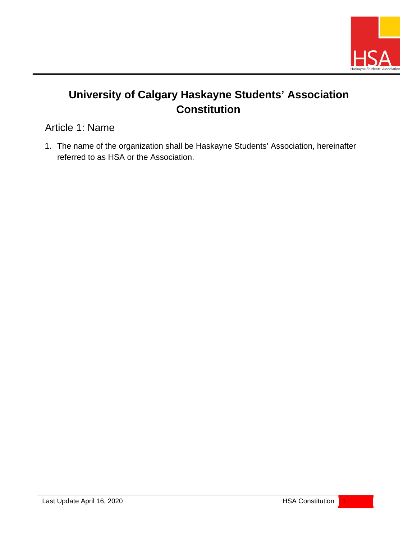

# **University of Calgary Haskayne Students' Association Constitution**

Article 1: Name

1. The name of the organization shall be Haskayne Students' Association, hereinafter referred to as HSA or the Association.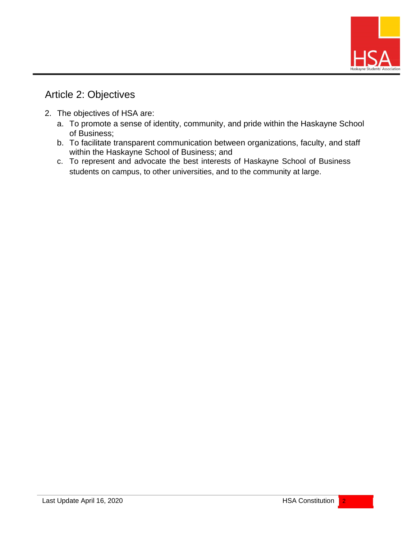

## Article 2: Objectives

- 2. The objectives of HSA are:
	- a. To promote a sense of identity, community, and pride within the Haskayne School of Business;
	- b. To facilitate transparent communication between organizations, faculty, and staff within the Haskayne School of Business; and
	- c. To represent and advocate the best interests of Haskayne School of Business students on campus, to other universities, and to the community at large.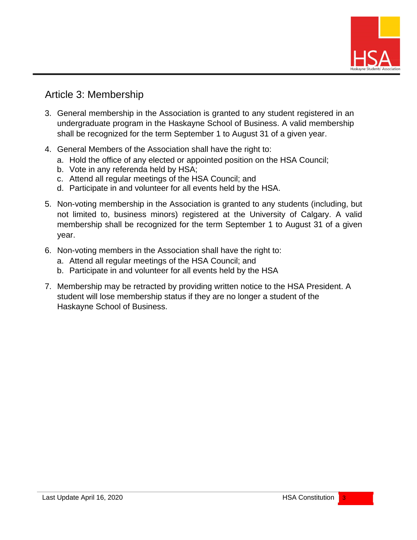

### Article 3: Membership

- 3. General membership in the Association is granted to any student registered in an undergraduate program in the Haskayne School of Business. A valid membership shall be recognized for the term September 1 to August 31 of a given year.
- 4. General Members of the Association shall have the right to:
	- a. Hold the office of any elected or appointed position on the HSA Council;
	- b. Vote in any referenda held by HSA;
	- c. Attend all regular meetings of the HSA Council; and
	- d. Participate in and volunteer for all events held by the HSA.
- 5. Non-voting membership in the Association is granted to any students (including, but not limited to, business minors) registered at the University of Calgary. A valid membership shall be recognized for the term September 1 to August 31 of a given year.
- 6. Non-voting members in the Association shall have the right to:
	- a. Attend all regular meetings of the HSA Council; and
	- b. Participate in and volunteer for all events held by the HSA
- 7. Membership may be retracted by providing written notice to the HSA President. A student will lose membership status if they are no longer a student of the Haskayne School of Business.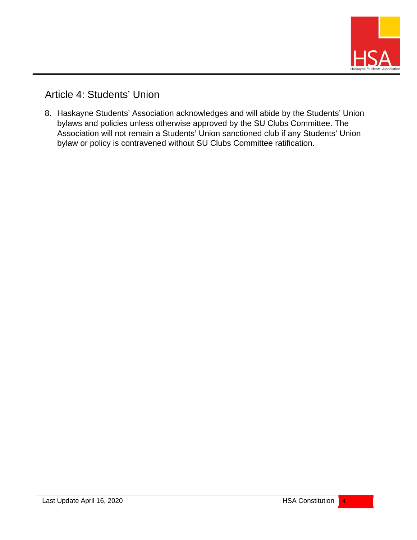

Article 4: Students' Union

8. Haskayne Students' Association acknowledges and will abide by the Students' Union bylaws and policies unless otherwise approved by the SU Clubs Committee. The Association will not remain a Students' Union sanctioned club if any Students' Union bylaw or policy is contravened without SU Clubs Committee ratification.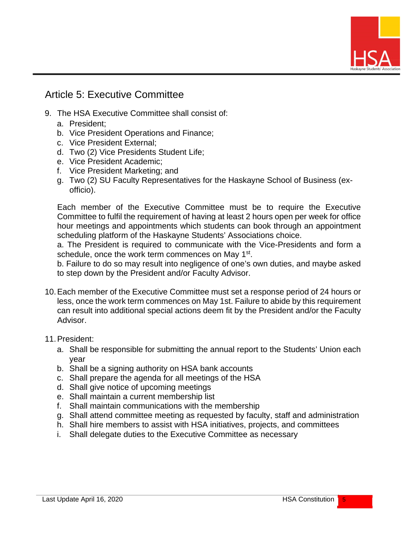

## Article 5: Executive Committee

- 9. The HSA Executive Committee shall consist of:
	- a. President;
	- b. Vice President Operations and Finance;
	- c. Vice President External;
	- d. Two (2) Vice Presidents Student Life;
	- e. Vice President Academic;
	- f. Vice President Marketing; and
	- g. Two (2) SU Faculty Representatives for the Haskayne School of Business (exofficio).

Each member of the Executive Committee must be to require the Executive Committee to fulfil the requirement of having at least 2 hours open per week for office hour meetings and appointments which students can book through an appointment scheduling platform of the Haskayne Students' Associations choice.

a. The President is required to communicate with the Vice-Presidents and form a schedule, once the work term commences on May 1<sup>st</sup>.

b. Failure to do so may result into negligence of one's own duties, and maybe asked to step down by the President and/or Faculty Advisor.

- 10.Each member of the Executive Committee must set a response period of 24 hours or less, once the work term commences on May 1st. Failure to abide by this requirement can result into additional special actions deem fit by the President and/or the Faculty Advisor.
- 11.President:
	- a. Shall be responsible for submitting the annual report to the Students' Union each year
	- b. Shall be a signing authority on HSA bank accounts
	- c. Shall prepare the agenda for all meetings of the HSA
	- d. Shall give notice of upcoming meetings
	- e. Shall maintain a current membership list
	- f. Shall maintain communications with the membership
	- g. Shall attend committee meeting as requested by faculty, staff and administration
	- h. Shall hire members to assist with HSA initiatives, projects, and committees
	- i. Shall delegate duties to the Executive Committee as necessary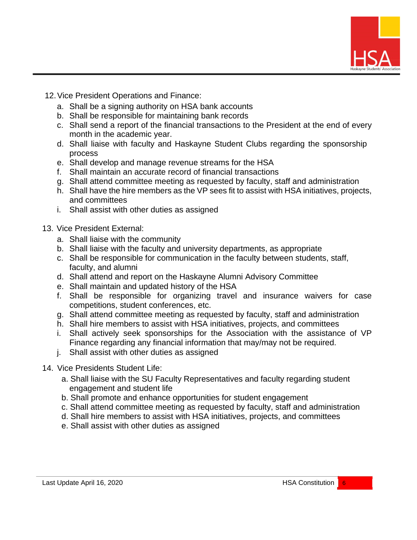

- 12.Vice President Operations and Finance:
	- a. Shall be a signing authority on HSA bank accounts
	- b. Shall be responsible for maintaining bank records
	- c. Shall send a report of the financial transactions to the President at the end of every month in the academic year.
	- d. Shall liaise with faculty and Haskayne Student Clubs regarding the sponsorship process
	- e. Shall develop and manage revenue streams for the HSA
	- f. Shall maintain an accurate record of financial transactions
	- g. Shall attend committee meeting as requested by faculty, staff and administration
	- h. Shall have the hire members as the VP sees fit to assist with HSA initiatives, projects, and committees
	- i. Shall assist with other duties as assigned
- 13. Vice President External:
	- a. Shall liaise with the community
	- b. Shall liaise with the faculty and university departments, as appropriate
	- c. Shall be responsible for communication in the faculty between students, staff, faculty, and alumni
	- d. Shall attend and report on the Haskayne Alumni Advisory Committee
	- e. Shall maintain and updated history of the HSA
	- f. Shall be responsible for organizing travel and insurance waivers for case competitions, student conferences, etc.
	- g. Shall attend committee meeting as requested by faculty, staff and administration
	- h. Shall hire members to assist with HSA initiatives, projects, and committees
	- i. Shall actively seek sponsorships for the Association with the assistance of VP Finance regarding any financial information that may/may not be required.
	- j. Shall assist with other duties as assigned
- 14. Vice Presidents Student Life:
	- a. Shall liaise with the SU Faculty Representatives and faculty regarding student engagement and student life
	- b. Shall promote and enhance opportunities for student engagement
	- c. Shall attend committee meeting as requested by faculty, staff and administration
	- d. Shall hire members to assist with HSA initiatives, projects, and committees
	- e. Shall assist with other duties as assigned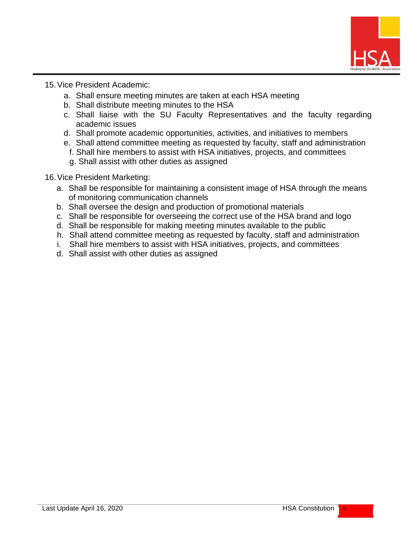

15.Vice President Academic:

- a. Shall ensure meeting minutes are taken at each HSA meeting
- b. Shall distribute meeting minutes to the HSA
- c. Shall liaise with the SU Faculty Representatives and the faculty regarding academic issues
- d. Shall promote academic opportunities, activities, and initiatives to members
- e. Shall attend committee meeting as requested by faculty, staff and administration f. Shall hire members to assist with HSA initiatives, projects, and committees
	- g. Shall assist with other duties as assigned
- 16.Vice President Marketing:
	- a. Shall be responsible for maintaining a consistent image of HSA through the means of monitoring communication channels
	- b. Shall oversee the design and production of promotional materials
	- c. Shall be responsible for overseeing the correct use of the HSA brand and logo
	- d. Shall be responsible for making meeting minutes available to the public
	- h. Shall attend committee meeting as requested by faculty, staff and administration
	- i. Shall hire members to assist with HSA initiatives, projects, and committees
	- d. Shall assist with other duties as assigned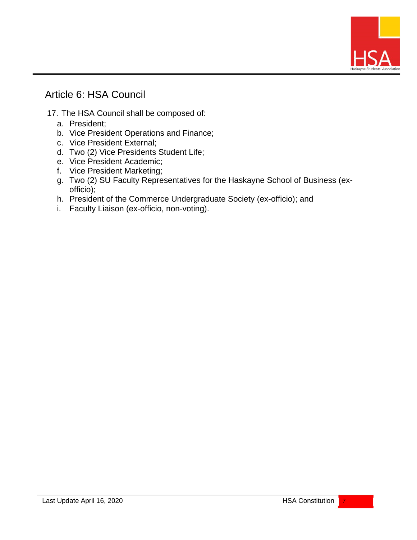

### Article 6: HSA Council

- 17. The HSA Council shall be composed of:
	- a. President;
	- b. Vice President Operations and Finance;
	- c. Vice President External;
	- d. Two (2) Vice Presidents Student Life;
	- e. Vice President Academic;
	- f. Vice President Marketing;
	- g. Two (2) SU Faculty Representatives for the Haskayne School of Business (exofficio);
	- h. President of the Commerce Undergraduate Society (ex-officio); and
	- i. Faculty Liaison (ex-officio, non-voting).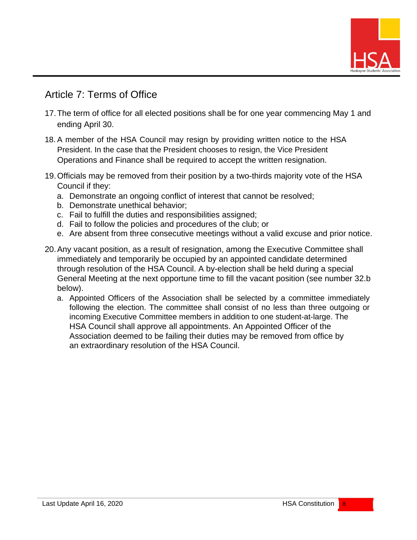

### Article 7: Terms of Office

- 17.The term of office for all elected positions shall be for one year commencing May 1 and ending April 30.
- 18. A member of the HSA Council may resign by providing written notice to the HSA President. In the case that the President chooses to resign, the Vice President Operations and Finance shall be required to accept the written resignation.
- 19.Officials may be removed from their position by a two-thirds majority vote of the HSA Council if they:
	- a. Demonstrate an ongoing conflict of interest that cannot be resolved;
	- b. Demonstrate unethical behavior;
	- c. Fail to fulfill the duties and responsibilities assigned;
	- d. Fail to follow the policies and procedures of the club; or
	- e. Are absent from three consecutive meetings without a valid excuse and prior notice.
- 20.Any vacant position, as a result of resignation, among the Executive Committee shall immediately and temporarily be occupied by an appointed candidate determined through resolution of the HSA Council. A by-election shall be held during a special General Meeting at the next opportune time to fill the vacant position (see number 32.b below).
	- a. Appointed Officers of the Association shall be selected by a committee immediately following the election. The committee shall consist of no less than three outgoing or incoming Executive Committee members in addition to one student-at-large. The HSA Council shall approve all appointments. An Appointed Officer of the Association deemed to be failing their duties may be removed from office by an extraordinary resolution of the HSA Council.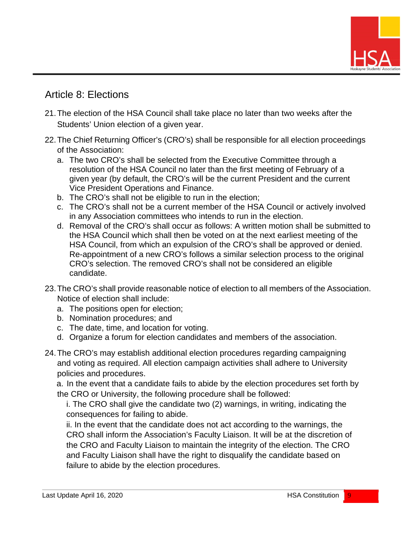

### Article 8: Elections

- 21.The election of the HSA Council shall take place no later than two weeks after the Students' Union election of a given year.
- 22.The Chief Returning Officer's (CRO's) shall be responsible for all election proceedings of the Association:
	- a. The two CRO's shall be selected from the Executive Committee through a resolution of the HSA Council no later than the first meeting of February of a given year (by default, the CRO's will be the current President and the current Vice President Operations and Finance.
	- b. The CRO's shall not be eligible to run in the election;
	- c. The CRO's shall not be a current member of the HSA Council or actively involved in any Association committees who intends to run in the election.
	- d. Removal of the CRO's shall occur as follows: A written motion shall be submitted to the HSA Council which shall then be voted on at the next earliest meeting of the HSA Council, from which an expulsion of the CRO's shall be approved or denied. Re-appointment of a new CRO's follows a similar selection process to the original CRO's selection. The removed CRO's shall not be considered an eligible candidate.
- 23.The CRO's shall provide reasonable notice of election to all members of the Association. Notice of election shall include:
	- a. The positions open for election;
	- b. Nomination procedures; and
	- c. The date, time, and location for voting.
	- d. Organize a forum for election candidates and members of the association.
- 24.The CRO's may establish additional election procedures regarding campaigning and voting as required. All election campaign activities shall adhere to University policies and procedures.

a. In the event that a candidate fails to abide by the election procedures set forth by the CRO or University, the following procedure shall be followed:

i. The CRO shall give the candidate two (2) warnings, in writing, indicating the consequences for failing to abide.

ii. In the event that the candidate does not act according to the warnings, the CRO shall inform the Association's Faculty Liaison. It will be at the discretion of the CRO and Faculty Liaison to maintain the integrity of the election. The CRO and Faculty Liaison shall have the right to disqualify the candidate based on failure to abide by the election procedures.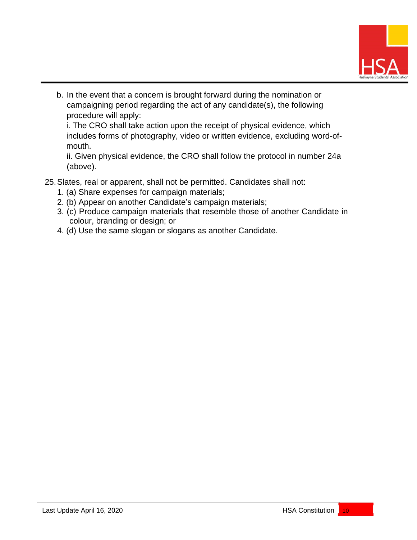

b. In the event that a concern is brought forward during the nomination or campaigning period regarding the act of any candidate(s), the following procedure will apply:

i. The CRO shall take action upon the receipt of physical evidence, which includes forms of photography, video or written evidence, excluding word-ofmouth.

ii. Given physical evidence, the CRO shall follow the protocol in number 24a (above).

- 25.Slates, real or apparent, shall not be permitted. Candidates shall not:
	- 1. (a) Share expenses for campaign materials;
	- 2. (b) Appear on another Candidate's campaign materials;
	- 3. (c) Produce campaign materials that resemble those of another Candidate in colour, branding or design; or
	- 4. (d) Use the same slogan or slogans as another Candidate.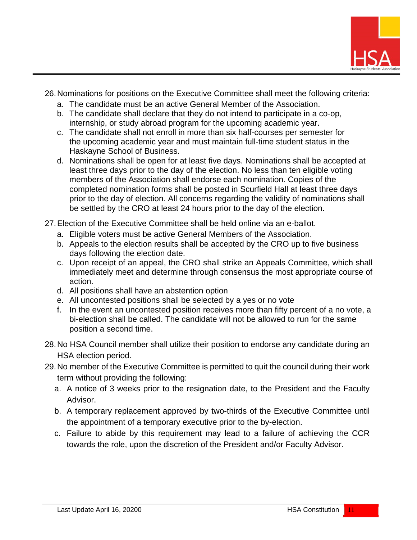

- 26.Nominations for positions on the Executive Committee shall meet the following criteria:
	- a. The candidate must be an active General Member of the Association.
	- b. The candidate shall declare that they do not intend to participate in a co-op, internship, or study abroad program for the upcoming academic year.
	- c. The candidate shall not enroll in more than six half-courses per semester for the upcoming academic year and must maintain full-time student status in the Haskayne School of Business.
	- d. Nominations shall be open for at least five days. Nominations shall be accepted at least three days prior to the day of the election. No less than ten eligible voting members of the Association shall endorse each nomination. Copies of the completed nomination forms shall be posted in Scurfield Hall at least three days prior to the day of election. All concerns regarding the validity of nominations shall be settled by the CRO at least 24 hours prior to the day of the election.
- 27.Election of the Executive Committee shall be held online via an e-ballot.
	- a. Eligible voters must be active General Members of the Association.
	- b. Appeals to the election results shall be accepted by the CRO up to five business days following the election date.
	- c. Upon receipt of an appeal, the CRO shall strike an Appeals Committee, which shall immediately meet and determine through consensus the most appropriate course of action.
	- d. All positions shall have an abstention option
	- e. All uncontested positions shall be selected by a yes or no vote
	- f. In the event an uncontested position receives more than fifty percent of a no vote, a bi-election shall be called. The candidate will not be allowed to run for the same position a second time.
- 28.No HSA Council member shall utilize their position to endorse any candidate during an HSA election period.
- 29.No member of the Executive Committee is permitted to quit the council during their work term without providing the following:
	- a. A notice of 3 weeks prior to the resignation date, to the President and the Faculty Advisor.
	- b. A temporary replacement approved by two-thirds of the Executive Committee until the appointment of a temporary executive prior to the by-election.
	- c. Failure to abide by this requirement may lead to a failure of achieving the CCR towards the role, upon the discretion of the President and/or Faculty Advisor.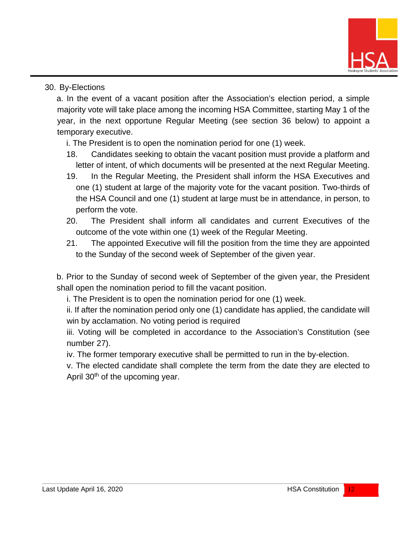

#### 30. By-Elections

a. In the event of a vacant position after the Association's election period, a simple majority vote will take place among the incoming HSA Committee, starting May 1 of the year, in the next opportune Regular Meeting (see section 36 below) to appoint a temporary executive.

i. The President is to open the nomination period for one (1) week.

- 18. Candidates seeking to obtain the vacant position must provide a platform and letter of intent, of which documents will be presented at the next Regular Meeting.
- 19. In the Regular Meeting, the President shall inform the HSA Executives and one (1) student at large of the majority vote for the vacant position. Two-thirds of the HSA Council and one (1) student at large must be in attendance, in person, to perform the vote.
- 20. The President shall inform all candidates and current Executives of the outcome of the vote within one (1) week of the Regular Meeting.
- 21. The appointed Executive will fill the position from the time they are appointed to the Sunday of the second week of September of the given year.

b. Prior to the Sunday of second week of September of the given year, the President shall open the nomination period to fill the vacant position.

i. The President is to open the nomination period for one (1) week.

ii. If after the nomination period only one (1) candidate has applied, the candidate will win by acclamation. No voting period is required

iii. Voting will be completed in accordance to the Association's Constitution (see number 27).

iv. The former temporary executive shall be permitted to run in the by-election.

v. The elected candidate shall complete the term from the date they are elected to April 30<sup>th</sup> of the upcoming year.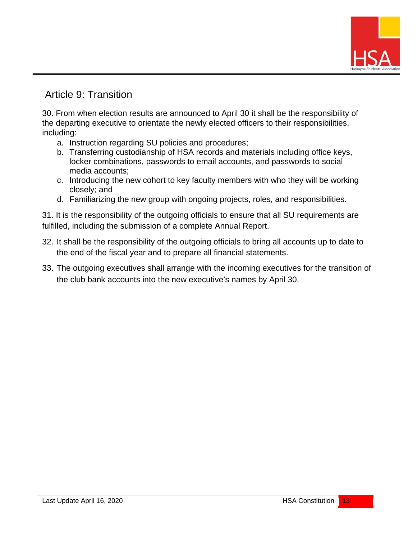

### Article 9: Transition

30. From when election results are announced to April 30 it shall be the responsibility of the departing executive to orientate the newly elected officers to their responsibilities, including:

- a. Instruction regarding SU policies and procedures;
- b. Transferring custodianship of HSA records and materials including office keys, locker combinations, passwords to email accounts, and passwords to social media accounts;
- c. Introducing the new cohort to key faculty members with who they will be working closely; and
- d. Familiarizing the new group with ongoing projects, roles, and responsibilities.

31. It is the responsibility of the outgoing officials to ensure that all SU requirements are fulfilled, including the submission of a complete Annual Report.

- 32. It shall be the responsibility of the outgoing officials to bring all accounts up to date to the end of the fiscal year and to prepare all financial statements.
- 33. The outgoing executives shall arrange with the incoming executives for the transition of the club bank accounts into the new executive's names by April 30.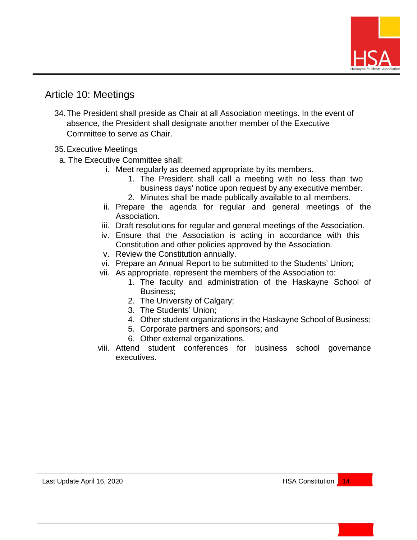

### Article 10: Meetings

34.The President shall preside as Chair at all Association meetings. In the event of absence, the President shall designate another member of the Executive Committee to serve as Chair.

#### 35.Executive Meetings

- a. The Executive Committee shall:
	- i. Meet regularly as deemed appropriate by its members.
		- 1. The President shall call a meeting with no less than two business days' notice upon request by any executive member.
		- 2. Minutes shall be made publically available to all members.
	- ii. Prepare the agenda for regular and general meetings of the Association.
	- iii. Draft resolutions for regular and general meetings of the Association.
	- iv. Ensure that the Association is acting in accordance with this Constitution and other policies approved by the Association.
	- v. Review the Constitution annually.
	- vi. Prepare an Annual Report to be submitted to the Students' Union;
	- vii. As appropriate, represent the members of the Association to:
		- 1. The faculty and administration of the Haskayne School of Business;
		- 2. The University of Calgary;
		- 3. The Students' Union;
		- 4. Other student organizations in the Haskayne School of Business;
		- 5. Corporate partners and sponsors; and
		- 6. Other external organizations.
	- viii. Attend student conferences for business school governance executives.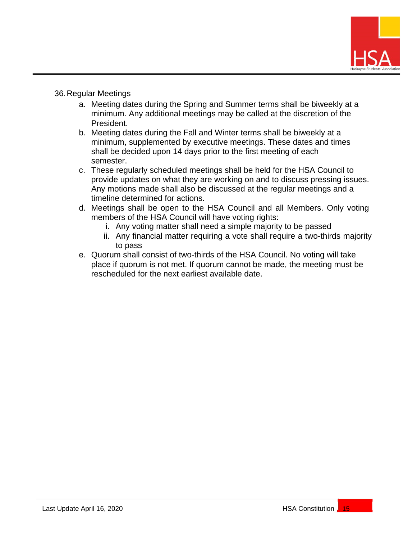

#### 36.Regular Meetings

- a. Meeting dates during the Spring and Summer terms shall be biweekly at a minimum. Any additional meetings may be called at the discretion of the President.
- b. Meeting dates during the Fall and Winter terms shall be biweekly at a minimum, supplemented by executive meetings. These dates and times shall be decided upon 14 days prior to the first meeting of each semester.
- c. These regularly scheduled meetings shall be held for the HSA Council to provide updates on what they are working on and to discuss pressing issues. Any motions made shall also be discussed at the regular meetings and a timeline determined for actions.
- d. Meetings shall be open to the HSA Council and all Members. Only voting members of the HSA Council will have voting rights:
	- i. Any voting matter shall need a simple majority to be passed
	- ii. Any financial matter requiring a vote shall require a two-thirds majority to pass
- e. Quorum shall consist of two-thirds of the HSA Council. No voting will take place if quorum is not met. If quorum cannot be made, the meeting must be rescheduled for the next earliest available date.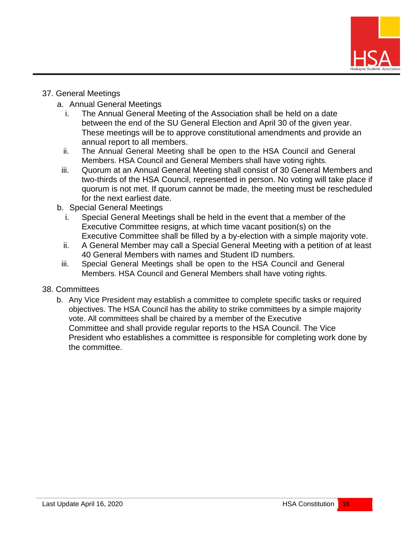

#### 37. General Meetings

- a. Annual General Meetings
	- i. The Annual General Meeting of the Association shall be held on a date between the end of the SU General Election and April 30 of the given year. These meetings will be to approve constitutional amendments and provide an annual report to all members.
	- ii. The Annual General Meeting shall be open to the HSA Council and General Members. HSA Council and General Members shall have voting rights.
	- iii. Quorum at an Annual General Meeting shall consist of 30 General Members and two-thirds of the HSA Council, represented in person. No voting will take place if quorum is not met. If quorum cannot be made, the meeting must be rescheduled for the next earliest date.
- b. Special General Meetings
	- i. Special General Meetings shall be held in the event that a member of the Executive Committee resigns, at which time vacant position(s) on the Executive Committee shall be filled by a by-election with a simple majority vote.
	- ii. A General Member may call a Special General Meeting with a petition of at least 40 General Members with names and Student ID numbers.
	- iii. Special General Meetings shall be open to the HSA Council and General Members. HSA Council and General Members shall have voting rights.

#### 38. Committees

b. Any Vice President may establish a committee to complete specific tasks or required objectives. The HSA Council has the ability to strike committees by a simple majority vote. All committees shall be chaired by a member of the Executive Committee and shall provide regular reports to the HSA Council. The Vice President who establishes a committee is responsible for completing work done by the committee.